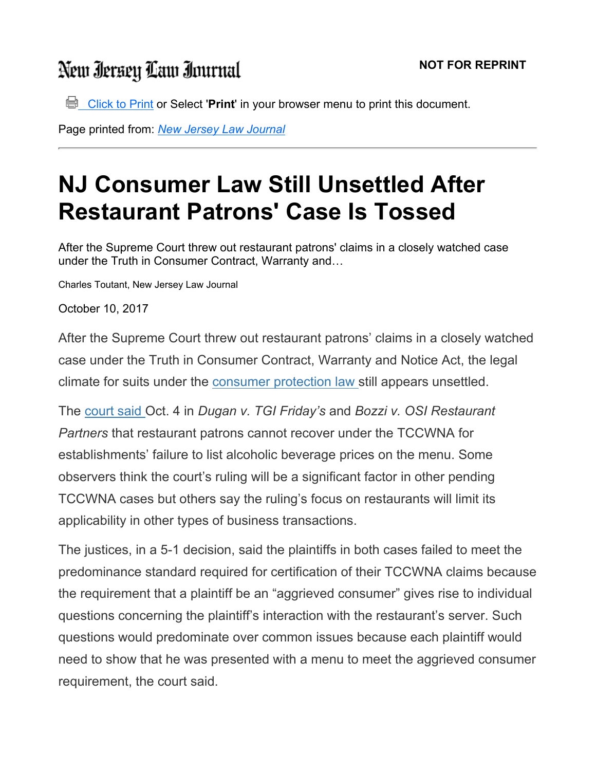## New Iersey Law Inurnal

 $\Box$  Click to Print or Select 'Print' in your browser menu to print this document.

Page printed from: New Jersey Law Journal

## NJ Consumer Law Still Unsettled After Restaurant Patrons' Case Is Tossed

After the Supreme Court threw out restaurant patrons' claims in a closely watched case under the Truth in Consumer Contract, Warranty and…

Charles Toutant, New Jersey Law Journal

October 10, 2017

After the Supreme Court threw out restaurant patrons' claims in a closely watched case under the Truth in Consumer Contract, Warranty and Notice Act, the legal climate for suits under the consumer protection law still appears unsettled.

The court said Oct. 4 in Dugan v. TGI Friday's and Bozzi v. OSI Restaurant Partners that restaurant patrons cannot recover under the TCCWNA for establishments' failure to list alcoholic beverage prices on the menu. Some observers think the court's ruling will be a significant factor in other pending TCCWNA cases but others say the ruling's focus on restaurants will limit its applicability in other types of business transactions.

The justices, in a 5-1 decision, said the plaintiffs in both cases failed to meet the predominance standard required for certification of their TCCWNA claims because the requirement that a plaintiff be an "aggrieved consumer" gives rise to individual questions concerning the plaintiff's interaction with the restaurant's server. Such questions would predominate over common issues because each plaintiff would need to show that he was presented with a menu to meet the aggrieved consumer requirement, the court said.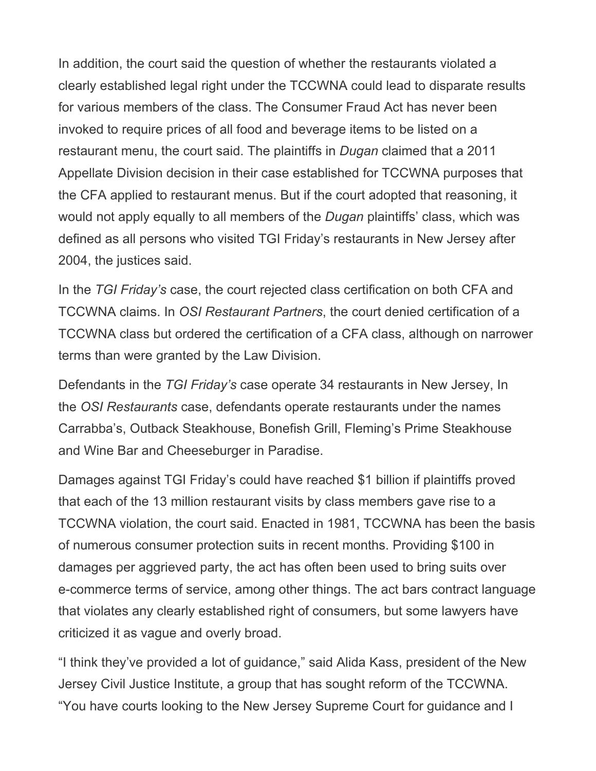In addition, the court said the question of whether the restaurants violated a clearly established legal right under the TCCWNA could lead to disparate results for various members of the class. The Consumer Fraud Act has never been invoked to require prices of all food and beverage items to be listed on a restaurant menu, the court said. The plaintiffs in Dugan claimed that a 2011 Appellate Division decision in their case established for TCCWNA purposes that the CFA applied to restaurant menus. But if the court adopted that reasoning, it would not apply equally to all members of the *Dugan* plaintiffs' class, which was defined as all persons who visited TGI Friday's restaurants in New Jersey after 2004, the justices said.

In the TGI Friday's case, the court rejected class certification on both CFA and TCCWNA claims. In OSI Restaurant Partners, the court denied certification of a TCCWNA class but ordered the certification of a CFA class, although on narrower terms than were granted by the Law Division.

Defendants in the TGI Friday's case operate 34 restaurants in New Jersey, In the OSI Restaurants case, defendants operate restaurants under the names Carrabba's, Outback Steakhouse, Bonefish Grill, Fleming's Prime Steakhouse and Wine Bar and Cheeseburger in Paradise.

Damages against TGI Friday's could have reached \$1 billion if plaintiffs proved that each of the 13 million restaurant visits by class members gave rise to a TCCWNA violation, the court said. Enacted in 1981, TCCWNA has been the basis of numerous consumer protection suits in recent months. Providing \$100 in damages per aggrieved party, the act has often been used to bring suits over e-commerce terms of service, among other things. The act bars contract language that violates any clearly established right of consumers, but some lawyers have criticized it as vague and overly broad.

"I think they've provided a lot of guidance," said Alida Kass, president of the New Jersey Civil Justice Institute, a group that has sought reform of the TCCWNA. "You have courts looking to the New Jersey Supreme Court for guidance and I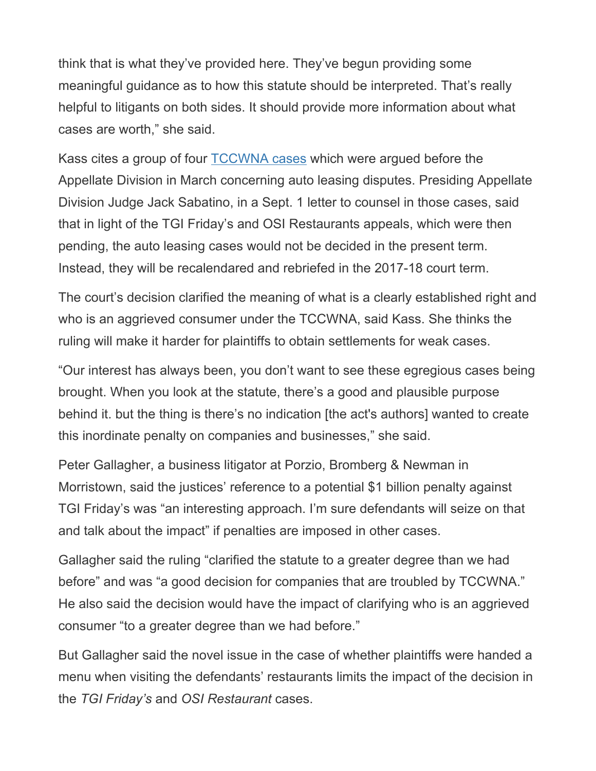think that is what they've provided here. They've begun providing some meaningful guidance as to how this statute should be interpreted. That's really helpful to litigants on both sides. It should provide more information about what cases are worth," she said.

Kass cites a group of four TCCWNA cases which were argued before the Appellate Division in March concerning auto leasing disputes. Presiding Appellate Division Judge Jack Sabatino, in a Sept. 1 letter to counsel in those cases, said that in light of the TGI Friday's and OSI Restaurants appeals, which were then pending, the auto leasing cases would not be decided in the present term. Instead, they will be recalendared and rebriefed in the 2017-18 court term.

The court's decision clarified the meaning of what is a clearly established right and who is an aggrieved consumer under the TCCWNA, said Kass. She thinks the ruling will make it harder for plaintiffs to obtain settlements for weak cases.

"Our interest has always been, you don't want to see these egregious cases being brought. When you look at the statute, there's a good and plausible purpose behind it. but the thing is there's no indication [the act's authors] wanted to create this inordinate penalty on companies and businesses," she said.

Peter Gallagher, a business litigator at Porzio, Bromberg & Newman in Morristown, said the justices' reference to a potential \$1 billion penalty against TGI Friday's was "an interesting approach. I'm sure defendants will seize on that and talk about the impact" if penalties are imposed in other cases.

Gallagher said the ruling "clarified the statute to a greater degree than we had before" and was "a good decision for companies that are troubled by TCCWNA." He also said the decision would have the impact of clarifying who is an aggrieved consumer "to a greater degree than we had before."

But Gallagher said the novel issue in the case of whether plaintiffs were handed a menu when visiting the defendants' restaurants limits the impact of the decision in the TGI Friday's and OSI Restaurant cases.